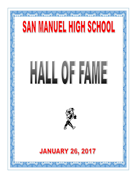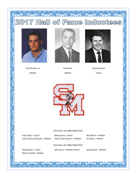# Hall of Fame Inductees  $7$

A RAIN AND AND A





Athlete



Pete Kron Athlete



Donnie Payne Coach



#### 2014 HALL OF FAME INDUCTEES

Fred Littau—Coach Manny Ruiz—Coach Rex Mirich—Athlete Cathy Garcia Gonzales—Athlete Cindy Trejo Navarro—Athlete PJ Ponce—Athlete

#### 2013 HALL OF FAME INDUCTEES

Warner Smith—Athlete

Sheila Baize—Coach John Dicus—Athletic Patron Greg Parker—Athlete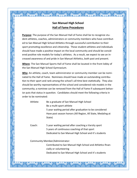#### **San Manuel High School Hall of Fame Procedures**

mand the thing the thing there

**Purpose**: The purpose of the San Manuel Hall of Fame shall be to recognize student-athletes, coaches, administrators or community members who have contributed to San Manuel High School Athletics through successful contribution to their sport promoting excellence and citizenship. These student-athletes and individuals should have made a positive impact on the local community and should be considered positive role models for today's athletes. As a result, we expect to see an increased awareness of and pride in San Manuel Athletics, both past and present.

**Where**: The San Manuel Sports Hall of Fame shall be located in the front lobby of the San Manuel High School Gymnasium.

**Who**: An athlete, coach, team administrator or community member can be nominated to the Hall of Fame. Nominees should have made an outstanding contribution to their sport and rank among the school's all time best statistically. They also should be worthy representatives of the school and considered role models in the community; a nominee can be removed from the Hall of Fame if subsequent behavior puts that status in question. Candidates should meet the following criteria in order to be nominated:

Athlete: Be a graduate of San Manuel High School Be a multi-sport athlete 5 year waiting period after graduation to be considered Have post season honors (All Region, All State, Medaling at State)

Coach: 5 year waiting period after coaching a Varsity sport 5 years of continuous coaching of that sport Dedicated to San Manuel High School and it's students

Community Member/Administrator:

Contributed to San Manuel High School and Athletics financially or volunteering Dedicated to San Manuel High School and it's students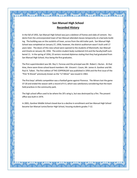### **San Manuel High School Recorded History**

And And And And And

In the fall of 1955, San Manuel High School was just a skeleton of frames and slabs of cement. Students from the unincorporated town of San Manuel attended classes temporarily at a barracks building. The building was on the outskirts of town, across from the old trailer park. San Manuel High School was completed on January 27, 1956; however, the district auditorium wasn't built until 17 years later. The doors of this new school were opened to the students of Mammoth, San Manuel and Oracle on January 30, 1956. The entire student body numbered 214 and the faculty/staff numbered 11. In the spring of 1956, 23 seniors received diplomas stating that they had graduated from San Manuel High School, thus being the first graduates.

The first superintendent was Mr. Roy V. Forsnas and the principal was Mr. Robert J. Burian. At that time, there were three school board members: Mr. Vincent I. Coson, Mr. James A. Gardner and Mr. Paul A. Talbot. The first edition of THE COPPERLEAF was published in 1956 and the first issue of the "Pick 'N Shovel" previously known as the "Li'l Miner" was issued in 1963.

The first boys' athletic competition was a football game against Florence. The Miners lost the game 37-20 and ended the season with a record of 4-3, which was satisfactory considering that the team held practices in the community park.

The high school office used to be where the 20's wing is, but was destroyed by a fire. The present office was built in 1974.

In 2001, Gardner Middle School closed due to a decline in enrollment and San Manuel High School became San Manuel Junior/Senior High School, housing students grades 7-12.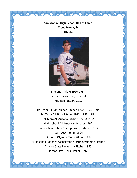## **San Manuel High School Hall of Fame Trent Brown, Sr** Athlete

 $\begin{picture}(120,15) \put(0,0){\vector(1,0){100}} \put(15,0){\vector(1,0){100}} \put(15,0){\vector(1,0){100}} \put(15,0){\vector(1,0){100}} \put(15,0){\vector(1,0){100}} \put(15,0){\vector(1,0){100}} \put(15,0){\vector(1,0){100}} \put(15,0){\vector(1,0){100}} \put(15,0){\vector(1,0){100}} \put(15,0){\vector(1,0){100}} \put(15,0){\vector(1,0){100}}$ 



Student Athlete 1990-1994 Football, Basketball, Baseball Inducted January 2017

1st Team All Conference Pitcher 1992, 1993, 1994 1st Team All State Pitcher 1992, 1993, 1994 1st Team All Arizona Pitcher 1991 &1992 High School All American Pitcher 1992 Connie Mack State Championship Pitcher 1993 Team USA Pitcher 1994 US Junior Olympic Team Pitcher 1994 Az Baseball Coaches Association Starting/Winning Pitcher Arizona State University Pitcher 1995 Tampa Devil Rays Pitcher 1997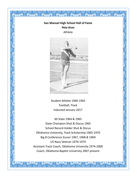## **San Manuel High School Hall of Fame Pete Kron** Athlete

A A A A A A



Student Athlete 1960-1965 Football, Track Inducted January 2017

All State 1964 & 1965 State Champion Shot & Discus 1965 School Record Holder Shot & Discus Oklahoma University, Track Scholarship 1965-1970 Big 8 Conference Scorer 1967, 1968 & 1969 US Navy Veteran 1970-1974 Assistant Track Coach, Oklahoma University 1974-2000 Coach, Oklahoma Baptist University 2007-present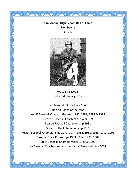# **San Manuel High School Hall of Fame Don Payne**

 $\iff$ 

Coach



Football, Baseball Inducted January 2017

San Manuel HS Graduate 1965 Region Coach of the Year Az HS Baseball Coach of the Year 1985, 1989, 1992 & 1993 District 7 Baseball Coach of the Year 1993 Region Football Championship 1981 State Football Championship 1981 Region Baseball Championship 1971, 1974, 1981, 1983, 1985, 1992, 1993 Baseball State Runnerups 1983, 1984, 1993, 2009 State Baseball Championships 1985 & 1992 Az Baseball Coaches Association Hall of Fame Inductee 2003